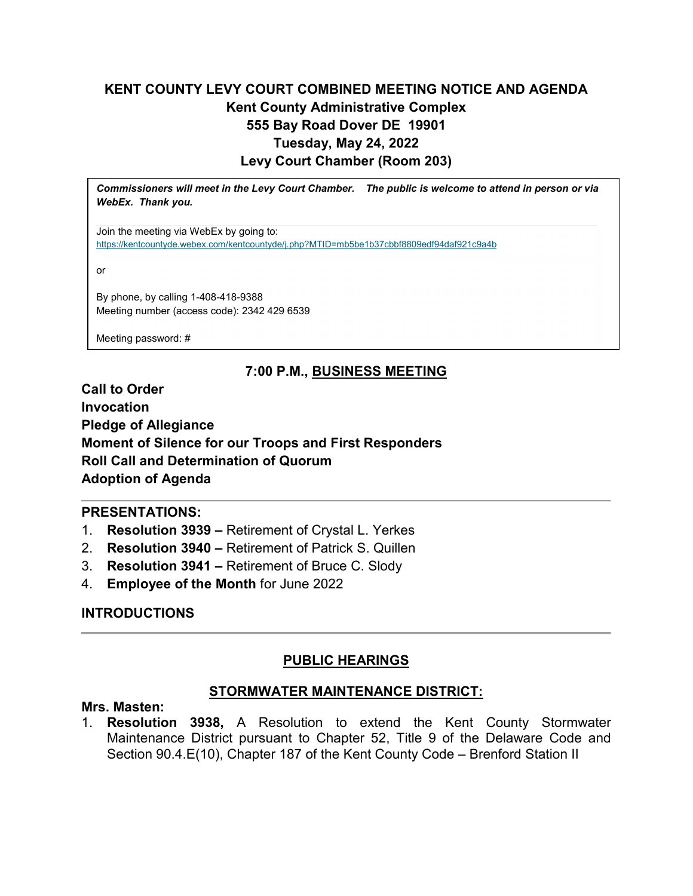# **KENT COUNTY LEVY COURT COMBINED MEETING NOTICE AND AGENDA Kent County Administrative Complex 555 Bay Road Dover DE 19901 Tuesday, May 24, 2022 Levy Court Chamber (Room 203)**

*Commissioners will meet in the Levy Court Chamber. The public is welcome to attend in person or via WebEx. Thank you.*

Join the meeting via WebEx by going to: <https://kentcountyde.webex.com/kentcountyde/j.php?MTID=mb5be1b37cbbf8809edf94daf921c9a4b>

or

By phone, by calling 1-408-418-9388 Meeting number (access code): 2342 429 6539

Meeting password: #

## **7:00 P.M., BUSINESS MEETING**

**Call to Order Invocation Pledge of Allegiance Moment of Silence for our Troops and First Responders Roll Call and Determination of Quorum Adoption of Agenda**

### **PRESENTATIONS:**

- 1. **Resolution 3939 –** Retirement of Crystal L. Yerkes
- 2. **Resolution 3940 –** Retirement of Patrick S. Quillen
- 3. **Resolution 3941 –** Retirement of Bruce C. Slody
- 4. **Employee of the Month** for June 2022

## **INTRODUCTIONS**

## **PUBLIC HEARINGS**

### **STORMWATER MAINTENANCE DISTRICT:**

### **Mrs. Masten:**

1. **Resolution 3938,** A Resolution to extend the Kent County Stormwater Maintenance District pursuant to Chapter 52, Title 9 of the Delaware Code and Section 90.4.E(10), Chapter 187 of the Kent County Code – Brenford Station II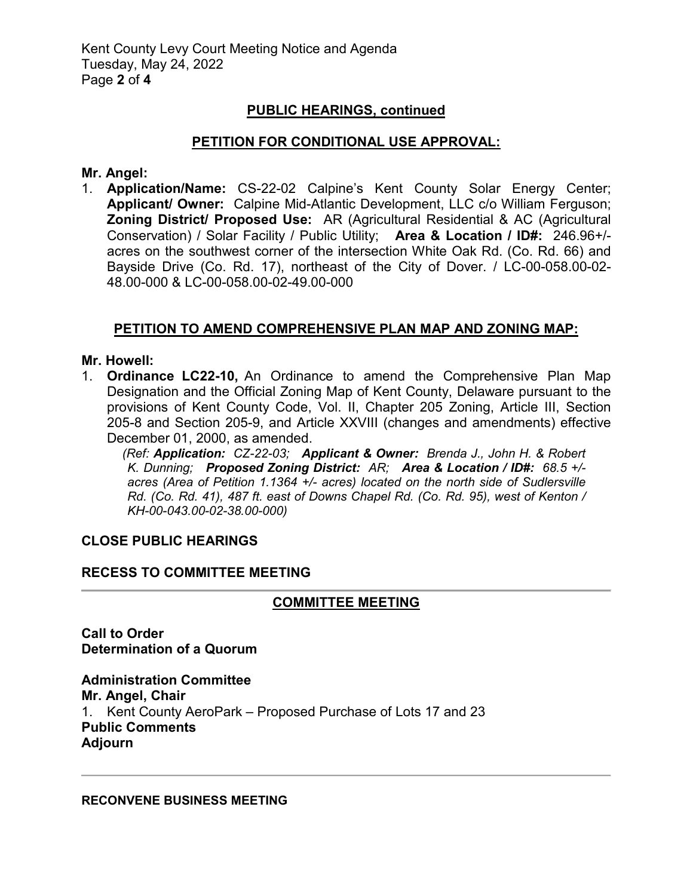### **PUBLIC HEARINGS, continued**

#### **PETITION FOR CONDITIONAL USE APPROVAL:**

#### **Mr. Angel:**

1. **Application/Name:** CS-22-02 Calpine's Kent County Solar Energy Center; **Applicant/ Owner:** Calpine Mid-Atlantic Development, LLC c/o William Ferguson; **Zoning District/ Proposed Use:** AR (Agricultural Residential & AC (Agricultural Conservation) / Solar Facility / Public Utility; **Area & Location / ID#:** 246.96+/ acres on the southwest corner of the intersection White Oak Rd. (Co. Rd. 66) and Bayside Drive (Co. Rd. 17), northeast of the City of Dover. / LC-00-058.00-02- 48.00-000 & LC-00-058.00-02-49.00-000

### **PETITION TO AMEND COMPREHENSIVE PLAN MAP AND ZONING MAP:**

#### **Mr. Howell:**

1. **Ordinance LC22-10,** An Ordinance to amend the Comprehensive Plan Map Designation and the Official Zoning Map of Kent County, Delaware pursuant to the provisions of Kent County Code, Vol. II, Chapter 205 Zoning, Article III, Section 205-8 and Section 205-9, and Article XXVIII (changes and amendments) effective December 01, 2000, as amended.

*(Ref: Application: CZ-22-03; Applicant & Owner: Brenda J., John H. & Robert K. Dunning; Proposed Zoning District: AR; Area & Location / ID#: 68.5 +/ acres (Area of Petition 1.1364 +/- acres) located on the north side of Sudlersville Rd. (Co. Rd. 41), 487 ft. east of Downs Chapel Rd. (Co. Rd. 95), west of Kenton / KH-00-043.00-02-38.00-000)*

#### **CLOSE PUBLIC HEARINGS**

#### **RECESS TO COMMITTEE MEETING**

### **COMMITTEE MEETING**

**Call to Order Determination of a Quorum**

**Administration Committee Mr. Angel, Chair** 1. Kent County AeroPark – Proposed Purchase of Lots 17 and 23 **Public Comments Adjourn**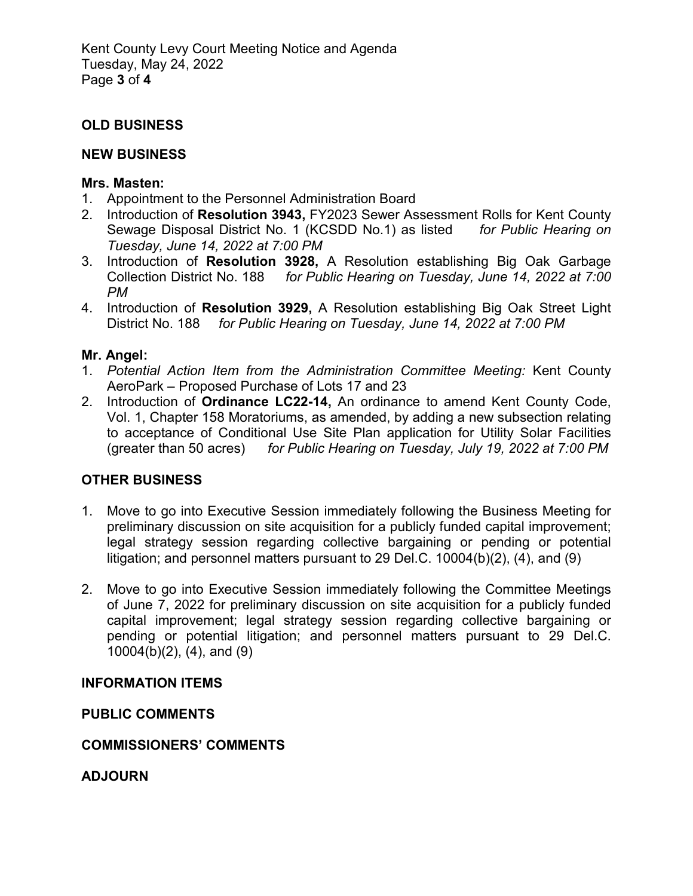## **OLD BUSINESS**

### **NEW BUSINESS**

### **Mrs. Masten:**

- 1. Appointment to the Personnel Administration Board
- 2. Introduction of **Resolution 3943,** FY2023 Sewer Assessment Rolls for Kent County Sewage Disposal District No. 1 (KCSDD No.1) as listed *for Public Hearing on Tuesday, June 14, 2022 at 7:00 PM*
- 3. Introduction of **Resolution 3928,** A Resolution establishing Big Oak Garbage Collection District No. 188 *for Public Hearing on Tuesday, June 14, 2022 at 7:00 PM*
- 4. Introduction of **Resolution 3929,** A Resolution establishing Big Oak Street Light District No. 188 *for Public Hearing on Tuesday, June 14, 2022 at 7:00 PM*

### **Mr. Angel:**

- 1. *Potential Action Item from the Administration Committee Meeting:* Kent County AeroPark – Proposed Purchase of Lots 17 and 23
- 2. Introduction of **Ordinance LC22-14,** An ordinance to amend Kent County Code, Vol. 1, Chapter 158 Moratoriums, as amended, by adding a new subsection relating to acceptance of Conditional Use Site Plan application for Utility Solar Facilities (greater than 50 acres) *for Public Hearing on Tuesday, July 19, 2022 at 7:00 PM*

## **OTHER BUSINESS**

- 1. Move to go into Executive Session immediately following the Business Meeting for preliminary discussion on site acquisition for a publicly funded capital improvement; legal strategy session regarding collective bargaining or pending or potential litigation; and personnel matters pursuant to 29 Del.C. 10004(b)(2), (4), and (9)
- 2. Move to go into Executive Session immediately following the Committee Meetings of June 7, 2022 for preliminary discussion on site acquisition for a publicly funded capital improvement; legal strategy session regarding collective bargaining or pending or potential litigation; and personnel matters pursuant to 29 Del.C. 10004(b)(2), (4), and (9)

### **INFORMATION ITEMS**

**PUBLIC COMMENTS**

### **COMMISSIONERS' COMMENTS**

**ADJOURN**